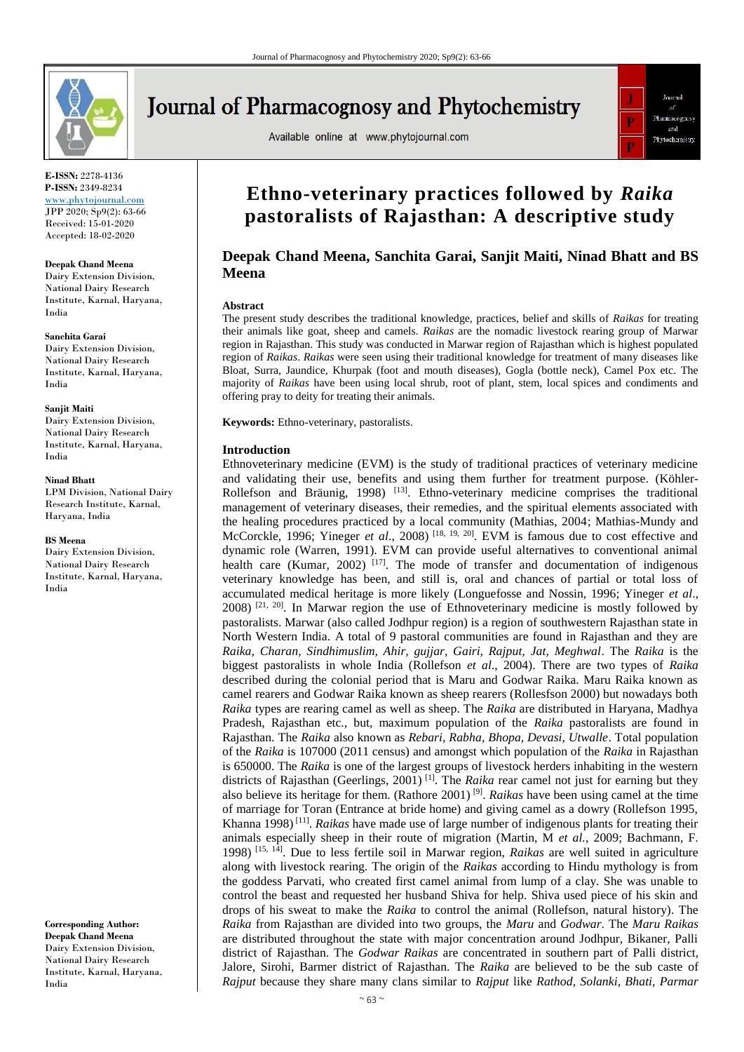

**E-ISSN:** 2278-4136 **P-ISSN:** 2349-8234 <www.phytojournal.com>

JPP 2020; Sp9(2): 63-66 Received: 15-01-2020 Accepted: 18-02-2020

#### **Deepak Chand Meena**

Dairy Extension Division, National Dairy Research Institute, Karnal, Haryana, India

#### **Sanchita Garai**

Dairy Extension Division, National Dairy Research Institute, Karnal, Haryana, India

#### **Sanjit Maiti**

Dairy Extension Division, National Dairy Research Institute, Karnal, Haryana, India

#### **Ninad Bhatt**

LPM Division, National Dairy Research Institute, Karnal, Haryana, India

#### **BS Meena**

Dairy Extension Division, National Dairy Research Institute, Karnal, Haryana, India

**Corresponding Author: Deepak Chand Meena** Dairy Extension Division, National Dairy Research Institute, Karnal, Haryana, India

# **Journal of Pharmacognosy and Phytochemistry**

Available online at www.phytojournal.com



# **Ethno-veterinary practices followed by** *Raika* **pastoralists of Rajasthan: A descriptive study**

# **Deepak Chand Meena, Sanchita Garai, Sanjit Maiti, Ninad Bhatt and BS Meena**

### **Abstract**

The present study describes the traditional knowledge, practices, belief and skills of *Raikas* for treating their animals like goat, sheep and camels*. Raikas* are the nomadic livestock rearing group of Marwar region in Rajasthan. This study was conducted in Marwar region of Rajasthan which is highest populated region of *Raikas*. *Raikas* were seen using their traditional knowledge for treatment of many diseases like Bloat, Surra, Jaundice, Khurpak (foot and mouth diseases), Gogla (bottle neck), Camel Pox etc. The majority of *Raikas* have been using local shrub, root of plant, stem, local spices and condiments and offering pray to deity for treating their animals.

**Keywords:** Ethno-veterinary, pastoralists.

#### **Introduction**

Ethnoveterinary medicine (EVM) is the study of traditional practices of veterinary medicine and validating their use, benefits and using them further for treatment purpose. (Köhler-Rollefson and Bräunig, 1998) [13]. Ethno-veterinary medicine comprises the traditional management of veterinary diseases, their remedies, and the spiritual elements associated with the healing procedures practiced by a local community (Mathias, 2004; Mathias-Mundy and McCorckle, 1996; Yineger *et al.*, 2008)<sup>[18, 19, 20]. EVM is famous due to cost effective and</sup> dynamic role (Warren, 1991). EVM can provide useful alternatives to conventional animal health care (Kumar, 2002)  $^{[17]}$ . The mode of transfer and documentation of indigenous veterinary knowledge has been, and still is, oral and chances of partial or total loss of accumulated medical heritage is more likely (Longuefosse and Nossin, 1996; Yineger *et al*.,  $2008$ )  $[21, 20]$ . In Marwar region the use of Ethnoveterinary medicine is mostly followed by pastoralists. Marwar (also called Jodhpur region) is a region of southwestern Rajasthan state in North Western India. A total of 9 pastoral communities are found in Rajasthan and they are *Raika, Charan, Sindhimuslim, Ahir, gujjar, Gairi, Rajput, Jat, Meghwal*. The *Raika* is the biggest pastoralists in whole India (Rollefson *et al*., 2004). There are two types of *Raika* described during the colonial period that is Maru and Godwar Raika. Maru Raika known as camel rearers and Godwar Raika known as sheep rearers (Rollesfson 2000) but nowadays both *Raika* types are rearing camel as well as sheep. The *Raika* are distributed in Haryana, Madhya Pradesh, Rajasthan etc., but, maximum population of the *Raika* pastoralists are found in Rajasthan. The *Raika* also known as *Rebari, Rabha, Bhopa, Devasi, Utwalle*. Total population of the *Raika* is 107000 (2011 census) and amongst which population of the *Raika* in Rajasthan is 650000. The *Raika* is one of the largest groups of livestock herders inhabiting in the western districts of Rajasthan (Geerlings, 2001)<sup>[1]</sup>. The *Raika* rear camel not just for earning but they also believe its heritage for them. (Rathore 2001) [9] . *Raikas* have been using camel at the time of marriage for Toran (Entrance at bride home) and giving camel as a dowry (Rollefson 1995, Khanna 1998) [11] . *Raikas* have made use of large number of indigenous plants for treating their animals especially sheep in their route of migration (Martin, M *et al.*, 2009; Bachmann, F. 1998) [15, 14] . Due to less fertile soil in Marwar region, *Raikas* are well suited in agriculture along with livestock rearing. The origin of the *Raikas* according to Hindu mythology is from the goddess Parvati, who created first camel animal from lump of a clay. She was unable to control the beast and requested her husband Shiva for help. Shiva used piece of his skin and drops of his sweat to make the *Raika* to control the animal (Rollefson, natural history). The *Raika* from Rajasthan are divided into two groups, the *Maru* and *Godwar*. The *Maru Raikas* are distributed throughout the state with major concentration around Jodhpur, Bikaner, Palli district of Rajasthan. The *Godwar Raikas* are concentrated in southern part of Palli district, Jalore, Sirohi, Barmer district of Rajasthan. The *Raika* are believed to be the sub caste of *Rajput* because they share many clans similar to *Rajput* like *Rathod, Solanki, Bhati, Parmar*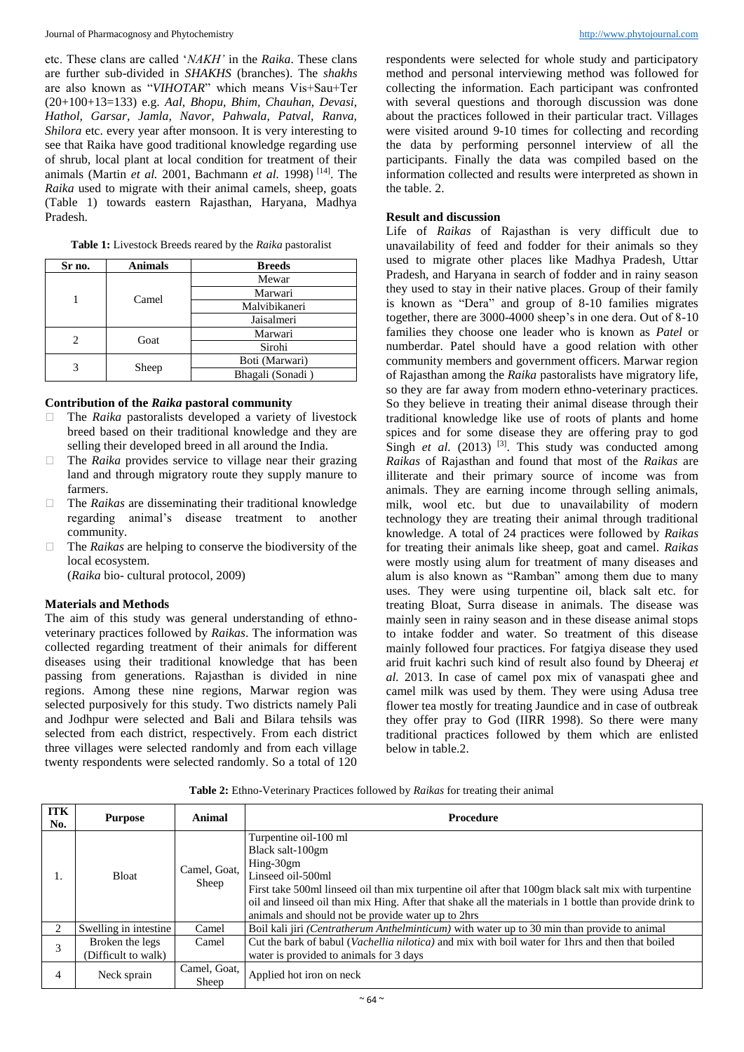etc. These clans are called '*NAKH'* in the *Raika*. These clans are further sub-divided in *SHAKHS* (branches). The *shakhs* are also known as "*VIHOTAR*" which means Vis+Sau+Ter (20+100+13=133) e.g. *Aal, Bhopu, Bhim, Chauhan, Devasi, Hathol, Garsar, Jamla, Navor, Pahwala, Patval, Ranva, Shilora* etc. every year after monsoon. It is very interesting to see that Raika have good traditional knowledge regarding use of shrub, local plant at local condition for treatment of their animals (Martin *et al.* 2001, Bachmann *et al.* 1998) [14] . The *Raika* used to migrate with their animal camels, sheep, goats (Table 1) towards eastern Rajasthan, Haryana, Madhya Pradesh.

| Sr no. | <b>Animals</b> | <b>Breeds</b>    |
|--------|----------------|------------------|
|        |                | Mewar            |
|        | Camel          | Marwari          |
|        |                | Malvibikaneri    |
|        |                | Jaisalmeri       |
|        | Goat           | Marwari          |
|        |                | Sirohi           |
|        |                | Boti (Marwari)   |
|        | Sheep          | Bhagali (Sonadi) |

**Table 1:** Livestock Breeds reared by the *Raika* pastoralist

# **Contribution of the** *Raika* **pastoral community**

- □ The *Raika* pastoralists developed a variety of livestock breed based on their traditional knowledge and they are selling their developed breed in all around the India.
- □ The *Raika* provides service to village near their grazing land and through migratory route they supply manure to farmers.
- □ The *Raikas* are disseminating their traditional knowledge regarding animal's disease treatment to another community.
- □ The *Raikas* are helping to conserve the biodiversity of the local ecosystem.

(*Raika* bio- cultural protocol, 2009)

## **Materials and Methods**

The aim of this study was general understanding of ethnoveterinary practices followed by *Raikas*. The information was collected regarding treatment of their animals for different diseases using their traditional knowledge that has been passing from generations. Rajasthan is divided in nine regions. Among these nine regions, Marwar region was selected purposively for this study. Two districts namely Pali and Jodhpur were selected and Bali and Bilara tehsils was selected from each district, respectively. From each district three villages were selected randomly and from each village twenty respondents were selected randomly. So a total of 120 respondents were selected for whole study and participatory method and personal interviewing method was followed for collecting the information. Each participant was confronted with several questions and thorough discussion was done about the practices followed in their particular tract. Villages were visited around 9-10 times for collecting and recording the data by performing personnel interview of all the participants. Finally the data was compiled based on the information collected and results were interpreted as shown in the table. 2.

## **Result and discussion**

Life of *Raikas* of Rajasthan is very difficult due to unavailability of feed and fodder for their animals so they used to migrate other places like Madhya Pradesh, Uttar Pradesh, and Haryana in search of fodder and in rainy season they used to stay in their native places. Group of their family is known as "Dera" and group of 8-10 families migrates together*,* there are 3000-4000 sheep's in one dera. Out of 8-10 families they choose one leader who is known as *Patel* or numberdar. Patel should have a good relation with other community members and government officers. Marwar region of Rajasthan among the *Raika* pastoralists have migratory life, so they are far away from modern ethno-veterinary practices. So they believe in treating their animal disease through their traditional knowledge like use of roots of plants and home spices and for some disease they are offering pray to god Singh *et al.* (2013) <sup>[3]</sup>. This study was conducted among *Raikas* of Rajasthan and found that most of the *Raikas* are illiterate and their primary source of income was from animals. They are earning income through selling animals, milk, wool etc. but due to unavailability of modern technology they are treating their animal through traditional knowledge. A total of 24 practices were followed by *Raikas* for treating their animals like sheep, goat and camel. *Raikas* were mostly using alum for treatment of many diseases and alum is also known as "Ramban" among them due to many uses. They were using turpentine oil, black salt etc. for treating Bloat, Surra disease in animals. The disease was mainly seen in rainy season and in these disease animal stops to intake fodder and water. So treatment of this disease mainly followed four practices. For fatgiya disease they used arid fruit kachri such kind of result also found by Dheeraj *et al.* 2013. In case of camel pox mix of vanaspati ghee and camel milk was used by them. They were using Adusa tree flower tea mostly for treating Jaundice and in case of outbreak they offer pray to God (IIRR 1998). So there were many traditional practices followed by them which are enlisted below in table.2.

**Table 2:** Ethno-Veterinary Practices followed by *Raikas* for treating their animal

| <b>ITK</b><br>No. | <b>Purpose</b>                         | Animal                | Procedure                                                                                                                                                                                                                                                                                                                                              |
|-------------------|----------------------------------------|-----------------------|--------------------------------------------------------------------------------------------------------------------------------------------------------------------------------------------------------------------------------------------------------------------------------------------------------------------------------------------------------|
| Ι.                | <b>Bloat</b>                           | Camel, Goat,<br>Sheep | Turpentine oil-100 ml<br>Black salt-100gm<br>$Hing-30gm$<br>Linseed oil-500ml<br>First take 500ml linseed oil than mix turpentine oil after that 100gm black salt mix with turpentine<br>oil and linseed oil than mix Hing. After that shake all the materials in 1 bottle than provide drink to<br>animals and should not be provide water up to 2hrs |
|                   | Swelling in intestine                  | Camel                 | Boil kali jiri (Centratherum Anthelminticum) with water up to 30 min than provide to animal                                                                                                                                                                                                                                                            |
| 3                 | Broken the legs<br>(Difficult to walk) | Camel                 | Cut the bark of babul ( <i>Vachellia nilotica</i> ) and mix with boil water for 1hrs and then that boiled<br>water is provided to animals for 3 days                                                                                                                                                                                                   |
| 4                 | Neck sprain                            | Camel, Goat,<br>Sheep | Applied hot iron on neck                                                                                                                                                                                                                                                                                                                               |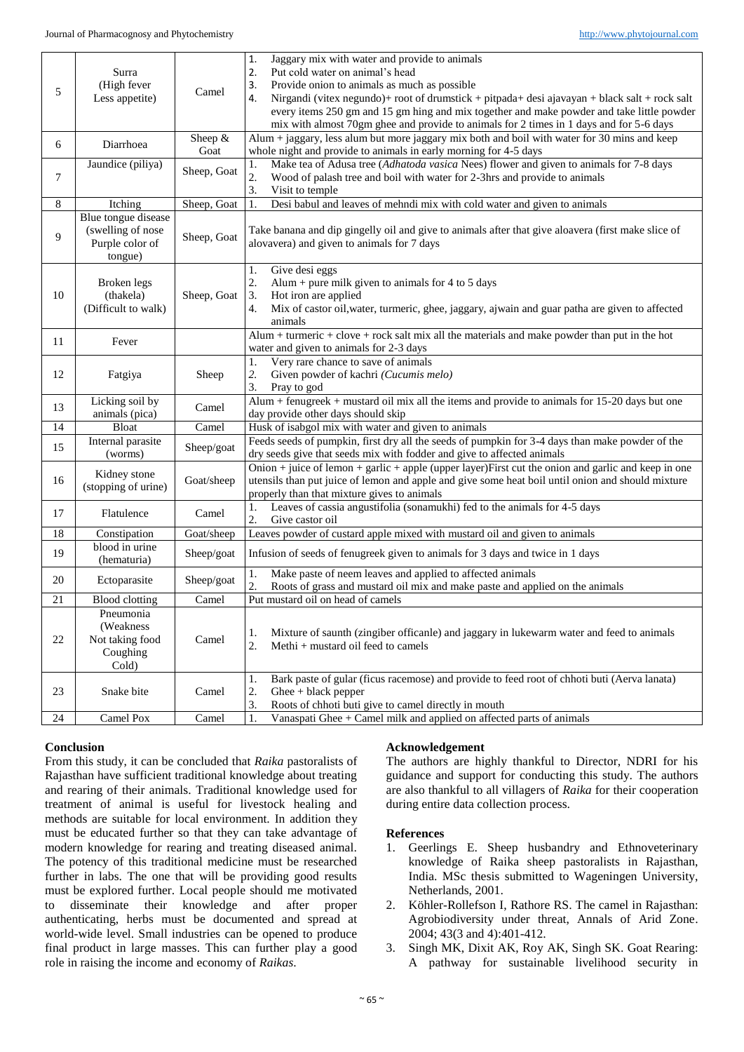|    |                                |             | 1.<br>Jaggary mix with water and provide to animals                                                                                                       |
|----|--------------------------------|-------------|-----------------------------------------------------------------------------------------------------------------------------------------------------------|
| 5  | Surra                          |             | 2.<br>Put cold water on animal's head                                                                                                                     |
|    | (High fever<br>Less appetite)  | Camel       | Provide onion to animals as much as possible<br>3.<br>Nirgandi (vitex negundo)+ root of drumstick + pitpada+ desi ajavayan + black salt + rock salt<br>4. |
|    |                                |             | every items 250 gm and 15 gm hing and mix together and make powder and take little powder                                                                 |
|    |                                |             | mix with almost 70gm ghee and provide to animals for 2 times in 1 days and for 5-6 days                                                                   |
|    |                                | Sheep &     | Alum + jaggary, less alum but more jaggary mix both and boil with water for 30 mins and keep                                                              |
| 6  | Diarrhoea                      | Goat        | whole night and provide to animals in early morning for 4-5 days                                                                                          |
|    | Jaundice (piliya)              |             | Make tea of Adusa tree (Adhatoda vasica Nees) flower and given to animals for 7-8 days<br>1.                                                              |
| 7  |                                | Sheep, Goat | $\overline{2}$ .<br>Wood of palash tree and boil with water for 2-3hrs and provide to animals                                                             |
|    |                                |             | 3.<br>Visit to temple                                                                                                                                     |
| 8  | Itching                        | Sheep, Goat | Desi babul and leaves of mehndi mix with cold water and given to animals<br>1.                                                                            |
|    | Blue tongue disease            |             |                                                                                                                                                           |
| 9  | (swelling of nose              | Sheep, Goat | Take banana and dip gingelly oil and give to animals after that give aloavera (first make slice of                                                        |
|    | Purple color of                |             | alovavera) and given to animals for 7 days                                                                                                                |
|    | tongue)                        |             |                                                                                                                                                           |
|    |                                |             | Give desi eggs<br>1.                                                                                                                                      |
|    | Broken legs                    |             | 2.<br>Alum + pure milk given to animals for 4 to 5 days                                                                                                   |
| 10 | (thakela)                      | Sheep, Goat | 3.<br>Hot iron are applied                                                                                                                                |
|    | (Difficult to walk)            |             | 4.<br>Mix of castor oil, water, turmeric, ghee, jaggary, ajwain and guar patha are given to affected<br>animals                                           |
|    |                                |             | $Alum + turneric + clove + rock salt mix all the materials and make powder than put in the hot$                                                           |
| 11 | Fever                          |             | water and given to animals for 2-3 days                                                                                                                   |
|    |                                |             | Very rare chance to save of animals<br>1.                                                                                                                 |
| 12 | Fatgiya                        | Sheep       | 2.<br>Given powder of kachri (Cucumis melo)                                                                                                               |
|    |                                |             | 3.<br>Pray to god                                                                                                                                         |
|    | Licking soil by                |             | Alum + fenugreek + mustard oil mix all the items and provide to animals for 15-20 days but one                                                            |
| 13 | animals (pica)                 | Camel       | day provide other days should skip                                                                                                                        |
| 14 | <b>Bloat</b>                   | Camel       | Husk of isabgol mix with water and given to animals                                                                                                       |
| 15 | Internal parasite<br>(worms)   | Sheep/goat  | Feeds seeds of pumpkin, first dry all the seeds of pumpkin for 3-4 days than make powder of the                                                           |
|    |                                |             | dry seeds give that seeds mix with fodder and give to affected animals                                                                                    |
|    | Kidney stone                   | Goat/sheep  | Onion + juice of lemon $\frac{1}{2}$ garlic + apple (upper layer) First cut the onion and garlic and keep in one                                          |
| 16 | (stopping of urine)            |             | utensils than put juice of lemon and apple and give some heat boil until onion and should mixture                                                         |
|    |                                |             | properly than that mixture gives to animals                                                                                                               |
| 17 | Flatulence                     | Camel       | Leaves of cassia angustifolia (sonamukhi) fed to the animals for 4-5 days<br>1.                                                                           |
|    |                                |             | 2.<br>Give castor oil                                                                                                                                     |
| 18 | Constipation<br>blood in urine | Goat/sheep  | Leaves powder of custard apple mixed with mustard oil and given to animals                                                                                |
| 19 | (hematuria)                    | Sheep/goat  | Infusion of seeds of fenugreek given to animals for 3 days and twice in 1 days                                                                            |
|    |                                |             | Make paste of neem leaves and applied to affected animals<br>1.                                                                                           |
| 20 | Ectoparasite                   | Sheep/goat  | 2.<br>Roots of grass and mustard oil mix and make paste and applied on the animals                                                                        |
| 21 | <b>Blood</b> clotting          | Camel       | Put mustard oil on head of camels                                                                                                                         |
|    | Pneumonia                      |             |                                                                                                                                                           |
|    | (Weakness)                     |             |                                                                                                                                                           |
| 22 | Not taking food                | Camel       | Mixture of saunth (zingiber officanle) and jaggary in lukewarm water and feed to animals<br>1.<br>2.<br>Methi + mustard oil feed to camels                |
|    | Coughing                       |             |                                                                                                                                                           |
|    | Cold)                          |             |                                                                                                                                                           |
| 23 | Snake bite                     | Camel       | Bark paste of gular (ficus racemose) and provide to feed root of chhoti buti (Aerva lanata)<br>1.                                                         |
|    |                                |             | 2.<br>$\text{Ghee} + \text{black } \text{pepper}$                                                                                                         |
|    |                                |             | 3.<br>Roots of chhoti buti give to camel directly in mouth                                                                                                |
| 24 | Camel Pox                      | Camel       | Vanaspati Ghee + Camel milk and applied on affected parts of animals<br>1.                                                                                |

# **Conclusion**

From this study, it can be concluded that *Raika* pastoralists of Rajasthan have sufficient traditional knowledge about treating and rearing of their animals. Traditional knowledge used for treatment of animal is useful for livestock healing and methods are suitable for local environment. In addition they must be educated further so that they can take advantage of modern knowledge for rearing and treating diseased animal. The potency of this traditional medicine must be researched further in labs. The one that will be providing good results must be explored further. Local people should me motivated to disseminate their knowledge and after proper authenticating, herbs must be documented and spread at world-wide level. Small industries can be opened to produce final product in large masses. This can further play a good role in raising the income and economy of *Raikas*.

# **Acknowledgement**

The authors are highly thankful to Director, NDRI for his guidance and support for conducting this study. The authors are also thankful to all villagers of *Raika* for their cooperation during entire data collection process.

## **References**

- 1. Geerlings E. Sheep husbandry and Ethnoveterinary knowledge of Raika sheep pastoralists in Rajasthan, India. MSc thesis submitted to Wageningen University, Netherlands, 2001.
- 2. Köhler-Rollefson I, Rathore RS. The camel in Rajasthan: Agrobiodiversity under threat, Annals of Arid Zone. 2004; 43(3 and 4):401-412.
- 3. Singh MK, Dixit AK, Roy AK, Singh SK. Goat Rearing: A pathway for sustainable livelihood security in